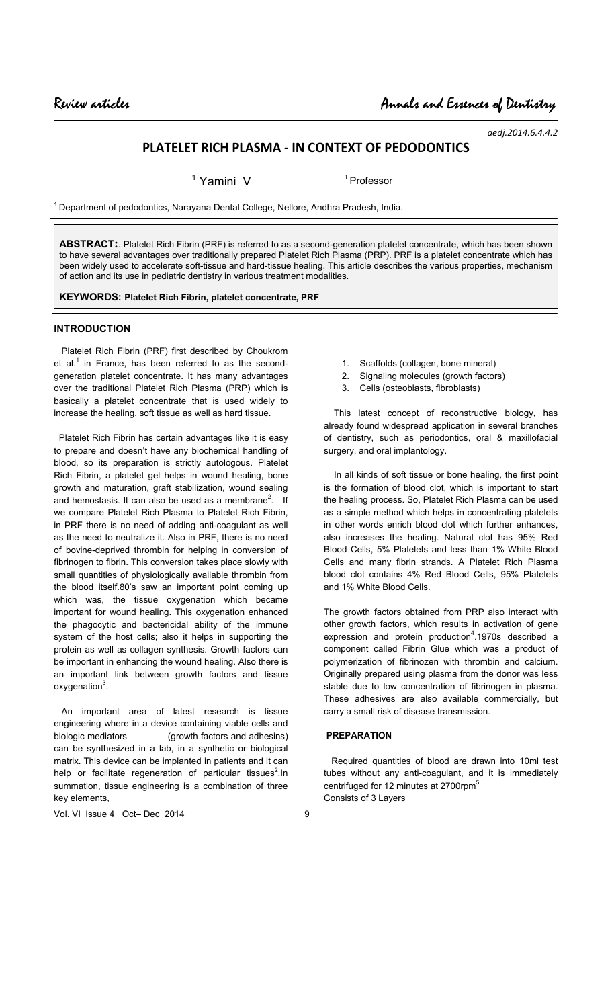*aedj.2014.6.4.4.2*

# **PLATELET RICH PLASMA - IN CONTEXT OF PEDODONTICS**

<sup>1</sup> Yamini V 1Professor

<sup>1,</sup>Department of pedodontics, Narayana Dental College, Nellore, Andhra Pradesh, India.

**ABSTRACT:**. Platelet Rich Fibrin (PRF) is referred to as a second-generation platelet concentrate, which has been shown to have several advantages over traditionally prepared Platelet Rich Plasma (PRP). PRF is a platelet concentrate which has been widely used to accelerate soft-tissue and hard-tissue healing. This article describes the various properties, mechanism of action and its use in pediatric dentistry in various treatment modalities.

**KEYWORDS: Platelet Rich Fibrin, platelet concentrate, PRF**

#### **INTRODUCTION**

 Platelet Rich Fibrin (PRF) first described by Choukrom et al.<sup>1</sup> in France, has been referred to as the secondgeneration platelet concentrate. It has many advantages over the traditional Platelet Rich Plasma (PRP) which is basically a platelet concentrate that is used widely to increase the healing, soft tissue as well as hard tissue.

 Platelet Rich Fibrin has certain advantages like it is easy to prepare and doesn't have any biochemical handling of blood, so its preparation is strictly autologous. Platelet Rich Fibrin, a platelet gel helps in wound healing, bone growth and maturation, graft stabilization, wound sealing and hemostasis. It can also be used as a membrane<sup>2</sup>. If we compare Platelet Rich Plasma to Platelet Rich Fibrin, in PRF there is no need of adding anti-coagulant as well as the need to neutralize it. Also in PRF, there is no need of bovine-deprived thrombin for helping in conversion of fibrinogen to fibrin. This conversion takes place slowly with small quantities of physiologically available thrombin from the blood itself.80's saw an important point coming up which was, the tissue oxygenation which became important for wound healing. This oxygenation enhanced the phagocytic and bactericidal ability of the immune system of the host cells; also it helps in supporting the protein as well as collagen synthesis. Growth factors can be important in enhancing the wound healing. Also there is an important link between growth factors and tissue oxygenation<sup>3</sup>.

 An important area of latest research is tissue engineering where in a device containing viable cells and biologic mediators (growth factors and adhesins) can be synthesized in a lab, in a synthetic or biological matrix. This device can be implanted in patients and it can help or facilitate regeneration of particular tissues<sup>2</sup>. In summation, tissue engineering is a combination of three key elements,

- 1. Scaffolds (collagen, bone mineral)
- 2. Signaling molecules (growth factors)
- 3. Cells (osteoblasts, fibroblasts)

 This latest concept of reconstructive biology, has already found widespread application in several branches of dentistry, such as periodontics, oral & maxillofacial surgery, and oral implantology.

 In all kinds of soft tissue or bone healing, the first point is the formation of blood clot, which is important to start the healing process. So, Platelet Rich Plasma can be used as a simple method which helps in concentrating platelets in other words enrich blood clot which further enhances, also increases the healing. Natural clot has 95% Red Blood Cells, 5% Platelets and less than 1% White Blood Cells and many fibrin strands. A Platelet Rich Plasma blood clot contains 4% Red Blood Cells, 95% Platelets and 1% White Blood Cells.

The growth factors obtained from PRP also interact with other growth factors, which results in activation of gene expression and protein production<sup>4</sup>.1970s described a component called Fibrin Glue which was a product of polymerization of fibrinozen with thrombin and calcium. Originally prepared using plasma from the donor was less stable due to low concentration of fibrinogen in plasma. These adhesives are also available commercially, but carry a small risk of disease transmission.

#### **PREPARATION**

 Required quantities of blood are drawn into 10ml test tubes without any anti-coagulant, and it is immediately centrifuged for 12 minutes at 2700rpm<sup>5</sup> Consists of 3 Layers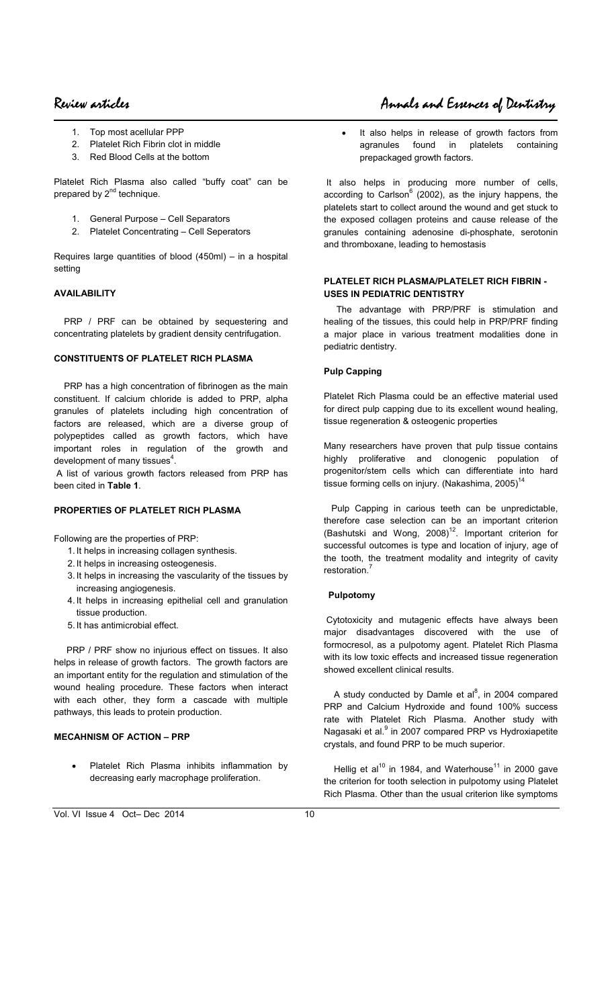- 1. Top most acellular PPP
- 2. Platelet Rich Fibrin clot in middle
- 3. Red Blood Cells at the bottom

Platelet Rich Plasma also called "buffy coat" can be prepared by 2<sup>nd</sup> technique.

- 1. General Purpose Cell Separators
- 2. Platelet Concentrating Cell Seperators

Requires large quantities of blood (450ml) – in a hospital setting

#### **AVAILABILITY**

PRP / PRF can be obtained by sequestering and concentrating platelets by gradient density centrifugation.

#### **CONSTITUENTS OF PLATELET RICH PLASMA**

 PRP has a high concentration of fibrinogen as the main constituent. If calcium chloride is added to PRP, alpha granules of platelets including high concentration of factors are released, which are a diverse group of polypeptides called as growth factors, which have important roles in regulation of the growth and development of many tissues $4$ .

 A list of various growth factors released from PRP has been cited in **Table 1**.

#### **PROPERTIES OF PLATELET RICH PLASMA**

Following are the properties of PRP:

- 1. It helps in increasing collagen synthesis.
- 2. It helps in increasing osteogenesis.
- 3. It helps in increasing the vascularity of the tissues by increasing angiogenesis.
- 4. It helps in increasing epithelial cell and granulation tissue production.
- 5. It has antimicrobial effect.

PRP / PRF show no injurious effect on tissues. It also helps in release of growth factors. The growth factors are an important entity for the regulation and stimulation of the wound healing procedure. These factors when interact with each other, they form a cascade with multiple pathways, this leads to protein production.

### **MECAHNISM OF ACTION – PRP**

Platelet Rich Plasma inhibits inflammation by decreasing early macrophage proliferation.

It also helps in release of growth factors from agranules found in platelets containing prepackaged growth factors.

 It also helps in producing more number of cells, according to Carlson<sup>6</sup> (2002), as the injury happens, the platelets start to collect around the wound and get stuck to the exposed collagen proteins and cause release of the granules containing adenosine di-phosphate, serotonin and thromboxane, leading to hemostasis

#### **PLATELET RICH PLASMA/PLATELET RICH FIBRIN - USES IN PEDIATRIC DENTISTRY**

 The advantage with PRP/PRF is stimulation and healing of the tissues, this could help in PRP/PRF finding a major place in various treatment modalities done in pediatric dentistry.

#### **Pulp Capping**

Platelet Rich Plasma could be an effective material used for direct pulp capping due to its excellent wound healing, tissue regeneration & osteogenic properties

Many researchers have proven that pulp tissue contains highly proliferative and clonogenic population of progenitor/stem cells which can differentiate into hard tissue forming cells on injury. (Nakashima, 2005)<sup>14</sup>

 Pulp Capping in carious teeth can be unpredictable, therefore case selection can be an important criterion (Bashutski and Wong,  $2008$ <sup>12</sup>. Important criterion for successful outcomes is type and location of injury, age of the tooth, the treatment modality and integrity of cavity restoration.<sup>7</sup>

#### **Pulpotomy**

 Cytotoxicity and mutagenic effects have always been major disadvantages discovered with the use of formocresol, as a pulpotomy agent. Platelet Rich Plasma with its low toxic effects and increased tissue regeneration showed excellent clinical results.

A study conducted by Damle et al $^{8}$ , in 2004 compared PRP and Calcium Hydroxide and found 100% success rate with Platelet Rich Plasma. Another study with Nagasaki et al.<sup>9</sup> in 2007 compared PRP vs Hydroxiapetite crystals, and found PRP to be much superior.

Hellig et al<sup>10</sup> in 1984, and Waterhouse<sup>11</sup> in 2000 gave the criterion for tooth selection in pulpotomy using Platelet Rich Plasma. Other than the usual criterion like symptoms

# Review articles Annals and Essences of Dentistry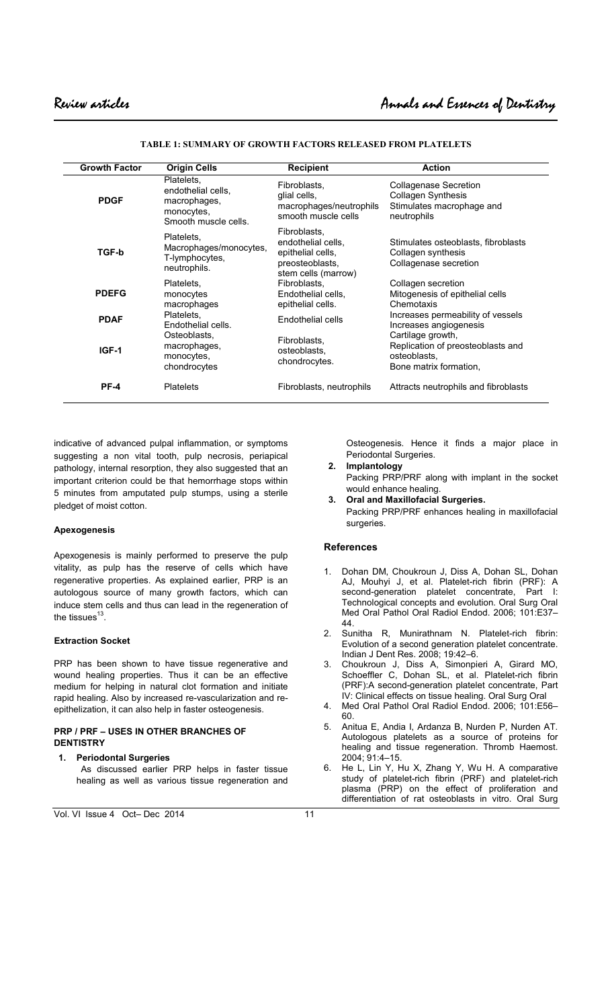| <b>Growth Factor</b> | <b>Origin Cells</b>                                                                    | <b>Recipient</b>                                                                                  | <b>Action</b>                                                                                         |
|----------------------|----------------------------------------------------------------------------------------|---------------------------------------------------------------------------------------------------|-------------------------------------------------------------------------------------------------------|
| <b>PDGF</b>          | Platelets.<br>endothelial cells,<br>macrophages,<br>monocytes,<br>Smooth muscle cells. | Fibroblasts,<br>glial cells,<br>macrophages/neutrophils<br>smooth muscle cells                    | <b>Collagenase Secretion</b><br><b>Collagen Synthesis</b><br>Stimulates macrophage and<br>neutrophils |
| <b>TGF-b</b>         | Platelets.<br>Macrophages/monocytes,<br>T-lymphocytes,<br>neutrophils.                 | Fibroblasts,<br>endothelial cells.<br>epithelial cells.<br>preosteoblasts,<br>stem cells (marrow) | Stimulates osteoblasts, fibroblasts<br>Collagen synthesis<br>Collagenase secretion                    |
| <b>PDEFG</b>         | Platelets.<br>monocytes<br>macrophages                                                 | Fibroblasts,<br>Endothelial cells,<br>epithelial cells.                                           | Collagen secretion<br>Mitogenesis of epithelial cells<br>Chemotaxis                                   |
| <b>PDAF</b>          | Platelets.<br>Endothelial cells.                                                       | Endothelial cells                                                                                 | Increases permeability of vessels<br>Increases angiogenesis                                           |
| IGF-1                | Osteoblasts,<br>macrophages,<br>monocytes,<br>chondrocytes                             | Fibroblasts.<br>osteoblasts.<br>chondrocytes.                                                     | Cartilage growth,<br>Replication of preosteoblasts and<br>osteoblasts.<br>Bone matrix formation,      |
| <b>PF-4</b>          | <b>Platelets</b>                                                                       | Fibroblasts, neutrophils                                                                          | Attracts neutrophils and fibroblasts                                                                  |

**TABLE 1: SUMMARY OF GROWTH FACTORS RELEASED FROM PLATELETS** 

indicative of advanced pulpal inflammation, or symptoms suggesting a non vital tooth, pulp necrosis, periapical pathology, internal resorption, they also suggested that an important criterion could be that hemorrhage stops within 5 minutes from amputated pulp stumps, using a sterile pledget of moist cotton.

#### **Apexogenesis**

Apexogenesis is mainly performed to preserve the pulp vitality, as pulp has the reserve of cells which have regenerative properties. As explained earlier, PRP is an autologous source of many growth factors, which can induce stem cells and thus can lead in the regeneration of the tissues $^{13}$ .

#### **Extraction Socket**

PRP has been shown to have tissue regenerative and wound healing properties. Thus it can be an effective medium for helping in natural clot formation and initiate rapid healing. Also by increased re-vascularization and reepithelization, it can also help in faster osteogenesis.

#### **PRP / PRF – USES IN OTHER BRANCHES OF DENTISTRY**

**1. Periodontal Surgeries**  As discussed earlier PRP helps in faster tissue healing as well as various tissue regeneration and Osteogenesis. Hence it finds a major place in Periodontal Surgeries.

**2. Implantology**  Packing PRP/PRF along with implant in the socket would enhance healing. **3. Oral and Maxillofacial Surgeries.** 

Packing PRP/PRF enhances healing in maxillofacial surgeries.

#### **References**

- 1. Dohan DM, Choukroun J, Diss A, Dohan SL, Dohan AJ, Mouhyi J, et al. Platelet-rich fibrin (PRF): A second-generation platelet concentrate, Technological concepts and evolution. Oral Surg Oral Med Oral Pathol Oral Radiol Endod. 2006; 101:E37– 44.
- 2. Sunitha R, Munirathnam N. Platelet-rich fibrin: Evolution of a second generation platelet concentrate. Indian J Dent Res. 2008; 19:42–6.
- 3. Choukroun J, Diss A, Simonpieri A, Girard MO, Schoeffler C, Dohan SL, et al. Platelet-rich fibrin (PRF):A second-generation platelet concentrate, Part IV: Clinical effects on tissue healing. Oral Surg Oral
- 4. Med Oral Pathol Oral Radiol Endod. 2006; 101:E56– 60.
- 5. Anitua E, Andia I, Ardanza B, Nurden P, Nurden AT. Autologous platelets as a source of proteins for healing and tissue regeneration. Thromb Haemost. 2004; 91:4–15.
- 6. He L, Lin Y, Hu X, Zhang Y, Wu H. A comparative study of platelet-rich fibrin (PRF) and platelet-rich plasma (PRP) on the effect of proliferation and differentiation of rat osteoblasts in vitro. Oral Surg